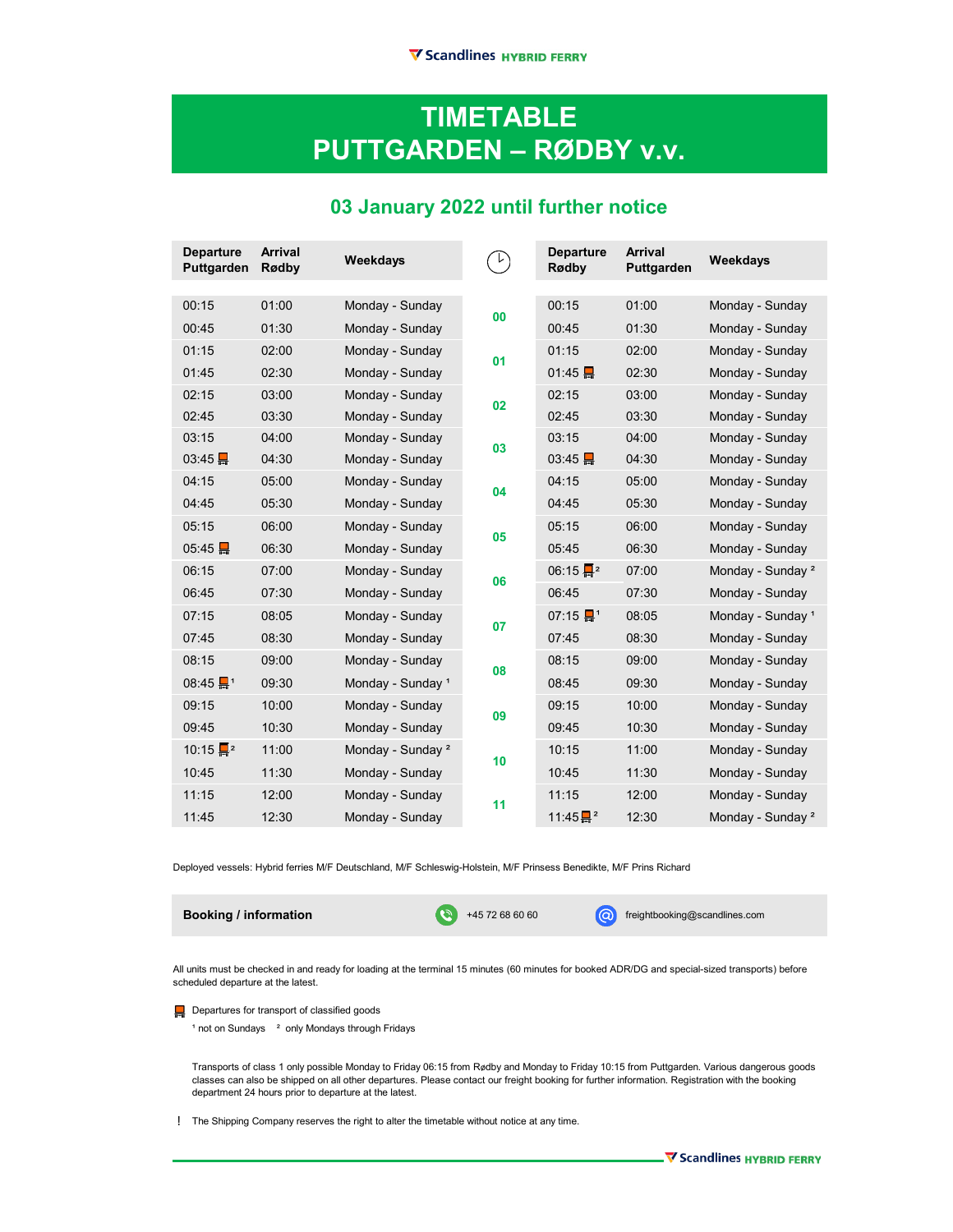## **TIMETABLE PUTTGARDEN ‒ RØDBY v.v.**

## **03 January 2022 until further notice**

| <b>Departure</b><br>Puttgarden   | <b>Arrival</b><br>Rødby | Weekdays                     |           | <b>Departure</b><br>Rødby        | <b>Arrival</b><br>Puttgarden | <b>Weekdays</b>              |
|----------------------------------|-------------------------|------------------------------|-----------|----------------------------------|------------------------------|------------------------------|
|                                  |                         |                              |           |                                  |                              |                              |
| 00:15                            | 01:00                   | Monday - Sunday              | $\bf{00}$ | 00:15                            | 01:00                        | Monday - Sunday              |
| 00:45                            | 01:30                   | Monday - Sunday              |           | 00:45                            | 01:30                        | Monday - Sunday              |
| 01:15                            | 02:00                   | Monday - Sunday              | 01        | 01:15                            | 02:00                        | Monday - Sunday              |
| 01:45                            | 02:30                   | Monday - Sunday              |           | 01:45                            | 02:30                        | Monday - Sunday              |
| 02:15                            | 03:00                   | Monday - Sunday              | 02        | 02:15                            | 03:00                        | Monday - Sunday              |
| 02:45                            | 03:30                   | Monday - Sunday              |           | 02:45                            | 03:30                        | Monday - Sunday              |
| 03:15                            | 04:00                   | Monday - Sunday              | 03        | 03:15                            | 04:00                        | Monday - Sunday              |
| 03:45                            | 04:30                   | Monday - Sunday              |           | 03:45                            | 04:30                        | Monday - Sunday              |
| 04:15                            | 05:00                   | Monday - Sunday              | 04        | 04:15                            | 05:00                        | Monday - Sunday              |
| 04:45                            | 05:30                   | Monday - Sunday              |           | 04:45                            | 05:30                        | Monday - Sunday              |
| 05:15                            | 06:00                   | Monday - Sunday              | 05        | 05:15                            | 06:00                        | Monday - Sunday              |
| 05:45                            | 06:30                   | Monday - Sunday              |           | 05:45                            | 06:30                        | Monday - Sunday              |
| 06:15                            | 07:00                   | Monday - Sunday              | 06        | $06:15 \frac{1}{2}$ <sup>2</sup> | 07:00                        | Monday - Sunday <sup>2</sup> |
| 06:45                            | 07:30                   | Monday - Sunday              |           | 06:45                            | 07:30                        | Monday - Sunday              |
| 07:15                            | 08:05                   | Monday - Sunday              | 07        | 07:15 $\frac{1}{2}$ <sup>1</sup> | 08:05                        | Monday - Sunday <sup>1</sup> |
| 07:45                            | 08:30                   | Monday - Sunday              |           | 07:45                            | 08:30                        | Monday - Sunday              |
| 08:15                            | 09:00                   | Monday - Sunday              | 08        | 08:15                            | 09:00                        | Monday - Sunday              |
| $08:45$ $\Box$ <sup>1</sup>      | 09:30                   | Monday - Sunday <sup>1</sup> |           | 08:45                            | 09:30                        | Monday - Sunday              |
| 09:15                            | 10:00                   | Monday - Sunday              | 09        | 09:15                            | 10:00                        | Monday - Sunday              |
| 09:45                            | 10:30                   | Monday - Sunday              |           | 09:45                            | 10:30                        | Monday - Sunday              |
| $10:15 \frac{1}{2}$ <sup>2</sup> | 11:00                   | Monday - Sunday <sup>2</sup> | 10        | 10:15                            | 11:00                        | Monday - Sunday              |
| 10:45                            | 11:30                   | Monday - Sunday              |           | 10:45                            | 11:30                        | Monday - Sunday              |
| 11:15                            | 12:00                   | Monday - Sunday              | 11        | 11:15                            | 12:00                        | Monday - Sunday              |
| 11:45                            | 12:30                   | Monday - Sunday              |           | $11:45 \frac{m}{m^2}$            | 12:30                        | Monday - Sunday <sup>2</sup> |

Deployed vessels: Hybrid ferries M/F Deutschland, M/F Schleswig-Holstein, M/F Prinsess Benedikte, M/F Prins Richard

**Booking / information** extending the state of the state of the state of the state of the state of the state of the state of the state of the state of the state of the state of the state of the state of the state of the st

All units must be checked in and ready for loading at the terminal 15 minutes (60 minutes for booked ADR/DG and special-sized transports) before scheduled departure at the latest.

**Departures for transport of classified goods** 

 $1$  not on Sundays  $2$  only Mondays through Fridays

Transports of class 1 only possible Monday to Friday 06:15 from Rødby and Monday to Friday 10:15 from Puttgarden. Various dangerous goods classes can also be shipped on all other departures. Please contact our freight booking for further information. Registration with the booking department 24 hours prior to departure at the latest.

The Shipping Company reserves the right to alter the timetable without notice at any time. !